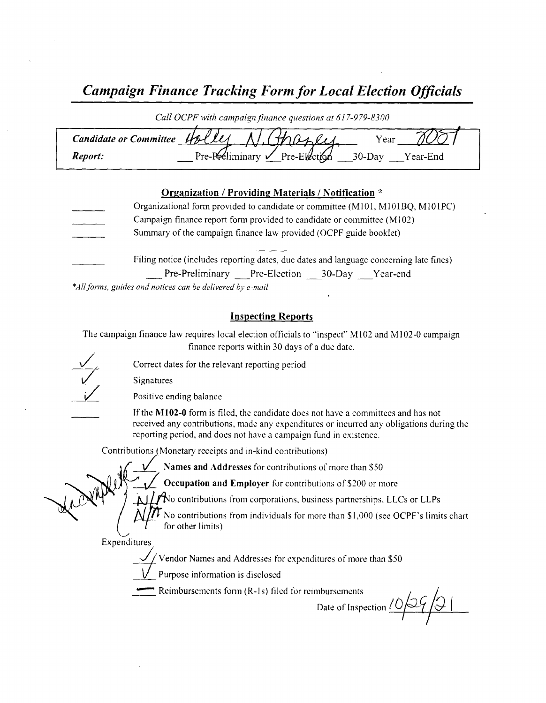# Campaign Finance Tracking Form for Local Election Officials

| Call OCPF with campaign finance questions at 617-979-8300 |                                        |                       |  |
|-----------------------------------------------------------|----------------------------------------|-----------------------|--|
| Candidate or Committee Holle                              |                                        | Year                  |  |
| Report:                                                   | Pre-Préliminary $\sqrt{P}$ re-Election | $30$ -Day<br>Year-End |  |

#### Organization / Providing Materials/ Notification \*

| Organizational form provided to candidate or committee (M101, M101BQ, M101PC)          |
|----------------------------------------------------------------------------------------|
| Campaign finance report form provided to candidate or committee (M102)                 |
| Summary of the campaign finance law provided (OCPF guide booklet)                      |
| Filing notice (includes reporting dates, due dates and language concerning late fines) |
| Pre-Preliminary Pre-Election 30-Day Year-end                                           |

\*All forms, guides and notices can be delivered by e-mail

#### Inspecting Reports

The campaign finance law requires local election officials to "inspect" M102 and M102-0 campaign finance reports within 30 days of <sup>a</sup> due date.

Correct dates for the relevant reporting period

Signatures

Positive ending balance

If the M102-0 form is filed, the candidate does not have a committees and has not received any contributions, made any expenditures or incurred any obligations during the reporting period, and does not have a campaign fund in existence.

Contributions ( Monetary receipts and in- kind contributions)

Names and Addresses for contributions of more than \$50

 $\mathbf{v}$ 

Occupation and Employer for contributions of \$200 or more

 $\Delta$  /  $\Delta$  contributions from corporations, business partnerships, LLCs or LLPs

No contributions from individuals for more than \$ 1, 000 ( see OCPF' <sup>s</sup> limits chart for other limits)

Expenditures

Vendor Names and Addresses for expenditures of more than \$50<br>Purpose information is disclosed

Reimbursements form (R-1s) filed for reimbursements

Date of Inspection  $10/29/9$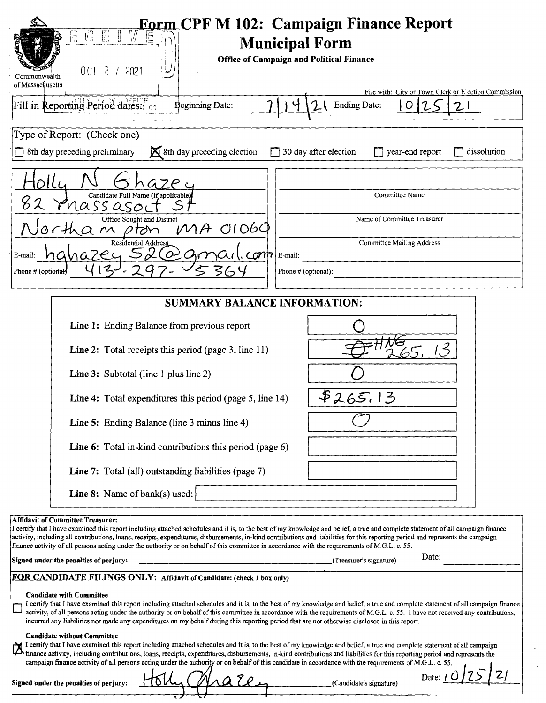| <b>Eorm CPF M 102: Campaign Finance Report</b><br>C E<br>$\begin{bmatrix} 1 \end{bmatrix}$<br>$\frac{1}{2}$<br>E<br><b>Municipal Form</b>                                                                                                                                                                                                                                                                                                                                                                                                                                   |  |  |  |  |
|-----------------------------------------------------------------------------------------------------------------------------------------------------------------------------------------------------------------------------------------------------------------------------------------------------------------------------------------------------------------------------------------------------------------------------------------------------------------------------------------------------------------------------------------------------------------------------|--|--|--|--|
| <b>Office of Campaign and Political Finance</b><br>OCT 2 7 2021<br>Commonwealth                                                                                                                                                                                                                                                                                                                                                                                                                                                                                             |  |  |  |  |
| of Massachusetts<br>File with: City or Town Clerk or Election Commission<br>Fill in Reporting Period dates: 69<br>Ending Date:<br><b>Beginning Date:</b><br>2.<br>O<br>21                                                                                                                                                                                                                                                                                                                                                                                                   |  |  |  |  |
|                                                                                                                                                                                                                                                                                                                                                                                                                                                                                                                                                                             |  |  |  |  |
| Type of Report: (Check one)<br>8th day preceding election<br>8th day preceding preliminary<br>$\Box$ 30 day after election<br>$\Box$ year-end report<br>dissolution                                                                                                                                                                                                                                                                                                                                                                                                         |  |  |  |  |
| G7P c<br>Candidate Full Name (if applicable)<br>Committee Name<br>Phass aso                                                                                                                                                                                                                                                                                                                                                                                                                                                                                                 |  |  |  |  |
| Office Sought and District<br>Name of Committee Treasurer<br>$M_A$ 01069                                                                                                                                                                                                                                                                                                                                                                                                                                                                                                    |  |  |  |  |
| <b>Committee Mailing Address</b><br>Residential Address<br>$n$ azey 52 $\omega$<br>$\epsilon$<br>E-mail:<br>E-mail:                                                                                                                                                                                                                                                                                                                                                                                                                                                         |  |  |  |  |
| Phone # (optional):<br>Phone # (optional):                                                                                                                                                                                                                                                                                                                                                                                                                                                                                                                                  |  |  |  |  |
| <b>SUMMARY BALANCE INFORMATION:</b>                                                                                                                                                                                                                                                                                                                                                                                                                                                                                                                                         |  |  |  |  |
| Line 1: Ending Balance from previous report                                                                                                                                                                                                                                                                                                                                                                                                                                                                                                                                 |  |  |  |  |
| Line 2: Total receipts this period (page 3, line 11)                                                                                                                                                                                                                                                                                                                                                                                                                                                                                                                        |  |  |  |  |
| <b>Line 3:</b> Subtotal (line 1 plus line 2)                                                                                                                                                                                                                                                                                                                                                                                                                                                                                                                                |  |  |  |  |
| \$265.1<br>3<br>Line 4: Total expenditures this period (page 5, line 14)                                                                                                                                                                                                                                                                                                                                                                                                                                                                                                    |  |  |  |  |
| Line 5: Ending Balance (line 3 minus line 4)                                                                                                                                                                                                                                                                                                                                                                                                                                                                                                                                |  |  |  |  |
| Line 6: Total in-kind contributions this period (page 6)                                                                                                                                                                                                                                                                                                                                                                                                                                                                                                                    |  |  |  |  |
| Line 7: Total (all) outstanding liabilities (page 7)                                                                                                                                                                                                                                                                                                                                                                                                                                                                                                                        |  |  |  |  |
| <b>Line 8:</b> Name of bank(s) used:                                                                                                                                                                                                                                                                                                                                                                                                                                                                                                                                        |  |  |  |  |
| <b>Affidavit of Committee Treasurer:</b><br>I certify that I have examined this report including attached schedules and it is, to the best of my knowledge and belief, a true and complete statement of all campaign finance<br>activity, including all contributions, loans, receipts, expenditures, disbursements, in-kind contributions and liabilities for this reporting period and represents the campaign<br>finance activity of all persons acting under the authority or on behalf of this committee in accordance with the requirements of M.G.L. c. 55.<br>Date: |  |  |  |  |
| (Treasurer's signature)<br>Signed under the penalties of perjury:<br>FOR CANDIDATE FILINGS ONLY: Affidavit of Candidate: (check 1 box only)                                                                                                                                                                                                                                                                                                                                                                                                                                 |  |  |  |  |
| <b>Candidate with Committee</b><br>I certify that I have examined this report including attached schedules and it is, to the best of my knowledge and belief, a true and complete statement of all campaign finance<br>activity, of all persons acting under the authority or on behalf of this committee in accordance with the requirements of M.G.L. c. 55. I have not received any contributions,<br>incurred any liabilities nor made any expenditures on my behalf during this reporting period that are not otherwise disclosed in this report.                      |  |  |  |  |
| <b>Candidate without Committee</b><br>$\rightarrow$ I certify that I have examined this report including attached schedules and it is, to the best of my knowledge and belief, a true and complete statement of all campaign<br>finance activity, including contributions, loans, receipts, expenditures, disbursements, in-kind contributions and liabilities for this reporting period and represents the<br>campaign finance activity of all persons acting under the authority or on behalf of this candidate in accordance with the requirements of M.G.L. c. 55.      |  |  |  |  |
| Date: $/$ $\zeta$<br>rate<br>(Candidate's signature)<br>Signed under the penalties of perjury:                                                                                                                                                                                                                                                                                                                                                                                                                                                                              |  |  |  |  |

 $\overline{\mathcal{L}}_1$  $\hat{A}$ 

 $\sim$ 

でナ

↢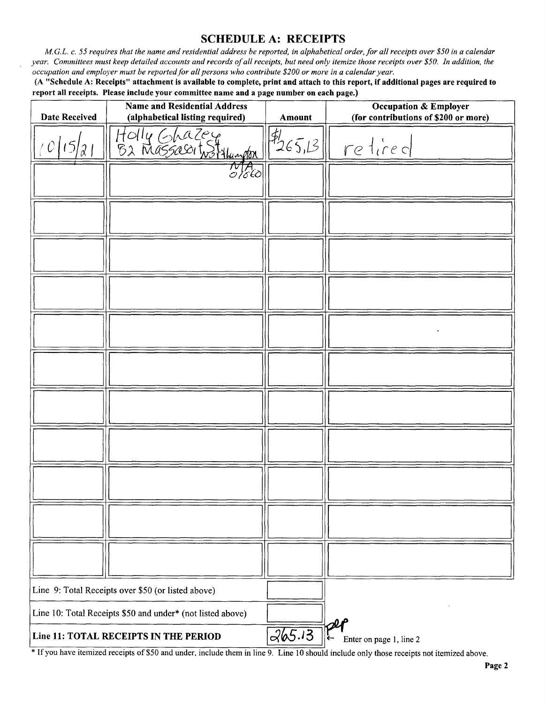### SCHEDULE A: RECEIPTS

M.G.L. c. 55 requires that the name and residential address be reported, in alphabetical order, for all receipts over \$50 in a calendar year. Committees must keep detailed accounts and records of all receipts, but need only itemize those receipts over \$50. In addition, the occupation and employer must be reported for all persons who contribute\$ 200 or more in <sup>a</sup> calendar year.

A " Schedule A: Receipts" attachment is available to complete, print and attach to this report, if additional pages are required to report all receipts. Please include your committee name and a page number on each page.)

| <b>Date Received</b> | <b>Name and Residential Address</b><br>(alphabetical listing required) | <b>Amount</b> | $\sim$ $\sim$<br><b>Occupation &amp; Employer</b><br>(for contributions of \$200 or more) |
|----------------------|------------------------------------------------------------------------|---------------|-------------------------------------------------------------------------------------------|
| $\mathcal{X}$ /      | Holly Ghazey<br>B2 Massasoit Stylungton                                | 1265,13       | retired                                                                                   |
|                      | τυπ.<br>Ο Ιδέδ                                                         |               |                                                                                           |
|                      |                                                                        |               |                                                                                           |
|                      |                                                                        |               |                                                                                           |
|                      |                                                                        |               |                                                                                           |
|                      |                                                                        |               |                                                                                           |
|                      |                                                                        |               |                                                                                           |
|                      |                                                                        |               |                                                                                           |
|                      |                                                                        |               |                                                                                           |
|                      |                                                                        |               |                                                                                           |
|                      |                                                                        |               |                                                                                           |
|                      |                                                                        |               |                                                                                           |
|                      | Line 9: Total Receipts over \$50 (or listed above)                     |               |                                                                                           |
|                      | Line 10: Total Receipts \$50 and under* (not listed above)             |               |                                                                                           |
|                      | Line 11: TOTAL RECEIPTS IN THE PERIOD                                  | 265.13        | $\mathbb{P}^2$<br>Enter on page 1, line 2                                                 |

<sup>\*</sup> If you have itemized receipts of \$50 and under, include them in line 9. Line 10 should include only those receipts not itemized above.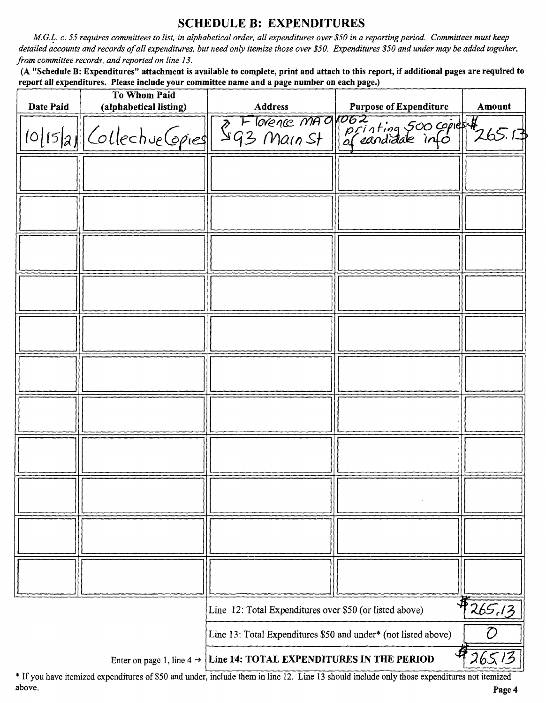## SCHEDULE B: EXPENDITURES

M.G.L. c. 55 requires committees to list, in alphabetical order, all expenditures over\$ 50 in a reporting period. Committees must keep detailed accounts and records of all expenditures, but need only itemize those over \$50. Expenditures \$50 and under may be added together, from committee records, and reported on line 13.

A " Schedule B: Expenditures" attachment is available to complete, print and attach to this report, if additional pages are required to report all expenditures. Please include your committee name and a page number on each page.)

| Date Paid | <b>To Whom Paid</b><br>(alphabetical listing) | <b>Address</b>                                                                                                              | <b>Purpose of Expenditure</b>                                      | Amount              |
|-----------|-----------------------------------------------|-----------------------------------------------------------------------------------------------------------------------------|--------------------------------------------------------------------|---------------------|
|           |                                               |                                                                                                                             |                                                                    |                     |
|           |                                               |                                                                                                                             | 10/15/2 Collective Copies S93 Main St Printing 500 copies # 265.13 |                     |
|           |                                               |                                                                                                                             |                                                                    |                     |
|           |                                               |                                                                                                                             |                                                                    |                     |
|           |                                               |                                                                                                                             |                                                                    |                     |
|           |                                               |                                                                                                                             |                                                                    |                     |
|           |                                               |                                                                                                                             |                                                                    |                     |
|           |                                               |                                                                                                                             |                                                                    |                     |
|           |                                               |                                                                                                                             |                                                                    |                     |
|           |                                               |                                                                                                                             |                                                                    |                     |
|           |                                               |                                                                                                                             |                                                                    |                     |
|           |                                               |                                                                                                                             |                                                                    |                     |
|           |                                               |                                                                                                                             |                                                                    |                     |
|           |                                               |                                                                                                                             |                                                                    |                     |
|           |                                               |                                                                                                                             |                                                                    |                     |
|           |                                               |                                                                                                                             |                                                                    |                     |
|           |                                               |                                                                                                                             |                                                                    |                     |
|           |                                               |                                                                                                                             |                                                                    |                     |
|           |                                               |                                                                                                                             |                                                                    |                     |
|           |                                               |                                                                                                                             |                                                                    |                     |
|           |                                               |                                                                                                                             |                                                                    |                     |
|           |                                               |                                                                                                                             |                                                                    |                     |
|           |                                               |                                                                                                                             |                                                                    |                     |
|           |                                               |                                                                                                                             |                                                                    |                     |
|           |                                               |                                                                                                                             |                                                                    |                     |
|           |                                               |                                                                                                                             |                                                                    |                     |
|           |                                               |                                                                                                                             |                                                                    |                     |
|           |                                               |                                                                                                                             |                                                                    |                     |
|           |                                               |                                                                                                                             |                                                                    |                     |
|           |                                               |                                                                                                                             |                                                                    |                     |
|           |                                               | Line 12: Total Expenditures over \$50 (or listed above)                                                                     |                                                                    | $\frac{1}{4}265.13$ |
|           |                                               | $\mathcal{D}% _{M_{1},M_{2}}^{\alpha,\beta}(\varepsilon)$<br>Line 13: Total Expenditures \$50 and under* (not listed above) |                                                                    |                     |
|           | Enter on page 1, line 4 $\rightarrow$         | Line 14: TOTAL EXPENDITURES IN THE PERIOD                                                                                   | 4                                                                  | 265/3               |

If you have itemized expenditures of\$50 and under, include them in line 12. Line <sup>13</sup> should include only those expenditures not itemized above. **Page 4** and the set of the set of the set of the set of the set of the set of the set of the set of the set of the set of the set of the set of the set of the set of the set of the set of the set of the set of the